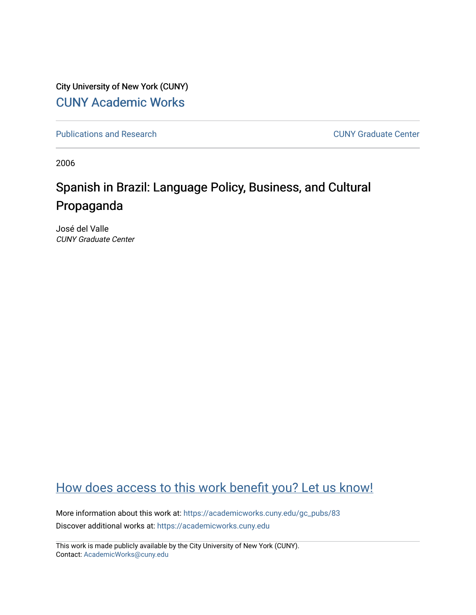City University of New York (CUNY) [CUNY Academic Works](https://academicworks.cuny.edu/) 

[Publications and Research](https://academicworks.cuny.edu/gc_pubs) [CUNY Graduate Center](https://academicworks.cuny.edu/gc) 

2006

# Spanish in Brazil: Language Policy, Business, and Cultural Propaganda

José del Valle CUNY Graduate Center

## [How does access to this work benefit you? Let us know!](http://ols.cuny.edu/academicworks/?ref=https://academicworks.cuny.edu/gc_pubs/83)

More information about this work at: [https://academicworks.cuny.edu/gc\\_pubs/83](https://academicworks.cuny.edu/gc_pubs/83)  Discover additional works at: [https://academicworks.cuny.edu](https://academicworks.cuny.edu/?)

This work is made publicly available by the City University of New York (CUNY). Contact: [AcademicWorks@cuny.edu](mailto:AcademicWorks@cuny.edu)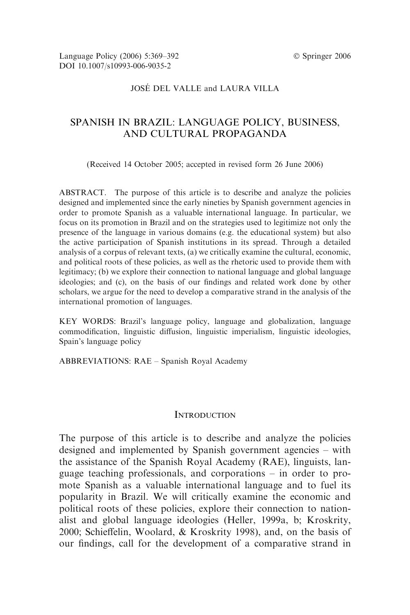## JOSE´ DEL VALLE and LAURA VILLA

## SPANISH IN BRAZIL: LANGUAGE POLICY, BUSINESS, AND CULTURAL PROPAGANDA

(Received 14 October 2005; accepted in revised form 26 June 2006)

ABSTRACT. The purpose of this article is to describe and analyze the policies designed and implemented since the early nineties by Spanish government agencies in order to promote Spanish as a valuable international language. In particular, we focus on its promotion in Brazil and on the strategies used to legitimize not only the presence of the language in various domains (e.g. the educational system) but also the active participation of Spanish institutions in its spread. Through a detailed analysis of a corpus of relevant texts, (a) we critically examine the cultural, economic, and political roots of these policies, as well as the rhetoric used to provide them with legitimacy; (b) we explore their connection to national language and global language ideologies; and (c), on the basis of our findings and related work done by other scholars, we argue for the need to develop a comparative strand in the analysis of the international promotion of languages.

KEY WORDS: Brazil's language policy, language and globalization, language commodification, linguistic diffusion, linguistic imperialism, linguistic ideologies, Spain's language policy

ABBREVIATIONS: RAE – Spanish Royal Academy

## **INTRODUCTION**

The purpose of this article is to describe and analyze the policies designed and implemented by Spanish government agencies – with the assistance of the Spanish Royal Academy (RAE), linguists, language teaching professionals, and corporations – in order to promote Spanish as a valuable international language and to fuel its popularity in Brazil. We will critically examine the economic and political roots of these policies, explore their connection to nationalist and global language ideologies (Heller, 1999a, b; Kroskrity, 2000; Schieffelin, Woolard, & Kroskrity 1998), and, on the basis of our findings, call for the development of a comparative strand in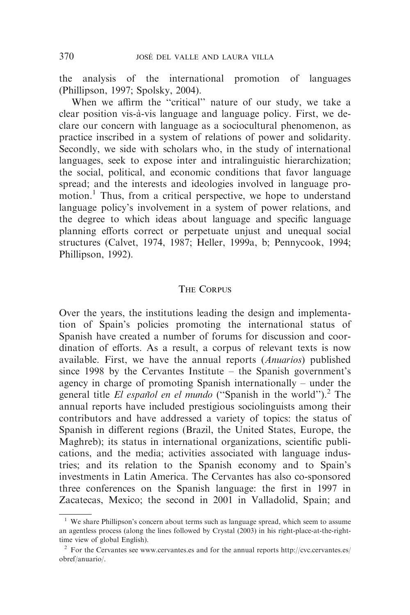the analysis of the international promotion of languages (Phillipson, 1997; Spolsky, 2004).

When we affirm the "critical" nature of our study, we take a clear position vis-à-vis language and language policy. First, we declare our concern with language as a sociocultural phenomenon, as practice inscribed in a system of relations of power and solidarity. Secondly, we side with scholars who, in the study of international languages, seek to expose inter and intralinguistic hierarchization; the social, political, and economic conditions that favor language spread; and the interests and ideologies involved in language promotion.<sup>1</sup> Thus, from a critical perspective, we hope to understand language policy's involvement in a system of power relations, and the degree to which ideas about language and specific language planning efforts correct or perpetuate unjust and unequal social structures (Calvet, 1974, 1987; Heller, 1999a, b; Pennycook, 1994; Phillipson, 1992).

## **THE CORPUS**

Over the years, the institutions leading the design and implementation of Spain's policies promoting the international status of Spanish have created a number of forums for discussion and coordination of efforts. As a result, a corpus of relevant texts is now available. First, we have the annual reports (Anuarios) published since 1998 by the Cervantes Institute – the Spanish government's agency in charge of promoting Spanish internationally – under the general title *El español en el mundo* ("Spanish in the world").<sup>2</sup> The annual reports have included prestigious sociolinguists among their contributors and have addressed a variety of topics: the status of Spanish in different regions (Brazil, the United States, Europe, the Maghreb); its status in international organizations, scientific publications, and the media; activities associated with language industries; and its relation to the Spanish economy and to Spain's investments in Latin America. The Cervantes has also co-sponsored three conferences on the Spanish language: the first in 1997 in Zacatecas, Mexico; the second in 2001 in Valladolid, Spain; and

<sup>&</sup>lt;sup>1</sup> We share Phillipson's concern about terms such as language spread, which seem to assume an agentless process (along the lines followed by Crystal (2003) in his right-place-at-the-righttime view of global English).

<sup>2</sup> For the Cervantes see www.cervantes.es and for the annual reports http://cvc.cervantes.es/ obref/anuario/.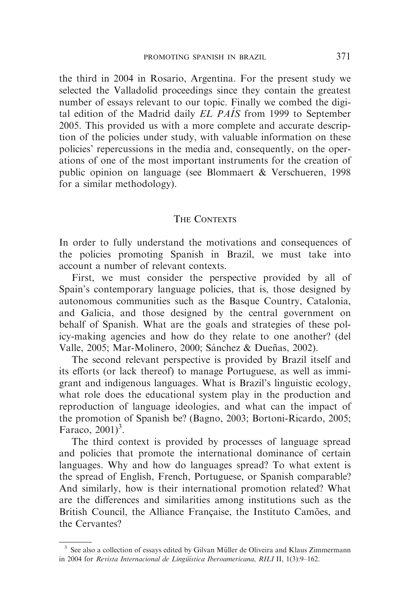the third in 2004 in Rosario, Argentina. For the present study we selected the Valladolid proceedings since they contain the greatest number of essays relevant to our topic. Finally we combed the digital edition of the Madrid daily  $EL$   $PA$  IS from 1999 to September 2005. This provided us with a more complete and accurate description of the policies under study, with valuable information on these policies' repercussions in the media and, consequently, on the operations of one of the most important instruments for the creation of public opinion on language (see Blommaert & Verschueren, 1998 for a similar methodology).

## THE CONTEXTS

In order to fully understand the motivations and consequences of the policies promoting Spanish in Brazil, we must take into account a number of relevant contexts.

First, we must consider the perspective provided by all of Spain's contemporary language policies, that is, those designed by autonomous communities such as the Basque Country, Catalonia, and Galicia, and those designed by the central government on behalf of Spanish. What are the goals and strategies of these policy-making agencies and how do they relate to one another? (del Valle, 2005; Mar-Molinero, 2000; Sánchez & Dueñas, 2002).

The second relevant perspective is provided by Brazil itself and its efforts (or lack thereof) to manage Portuguese, as well as immigrant and indigenous languages. What is Brazil's linguistic ecology, what role does the educational system play in the production and reproduction of language ideologies, and what can the impact of the promotion of Spanish be? (Bagno, 2003; Bortoni-Ricardo, 2005; Faraco, 2001)<sup>3</sup>.

The third context is provided by processes of language spread and policies that promote the international dominance of certain languages. Why and how do languages spread? To what extent is the spread of English, French, Portuguese, or Spanish comparable? And similarly, how is their international promotion related? What are the differences and similarities among institutions such as the British Council, the Alliance Française, the Instituto Camões, and the Cervantes?

<sup>&</sup>lt;sup>3</sup> See also a collection of essays edited by Gilvan Müller de Oliveira and Klaus Zimmermann in 2004 for Revista Internacional de Lingüística Iberoamericana, RILI II, 1(3):9-162.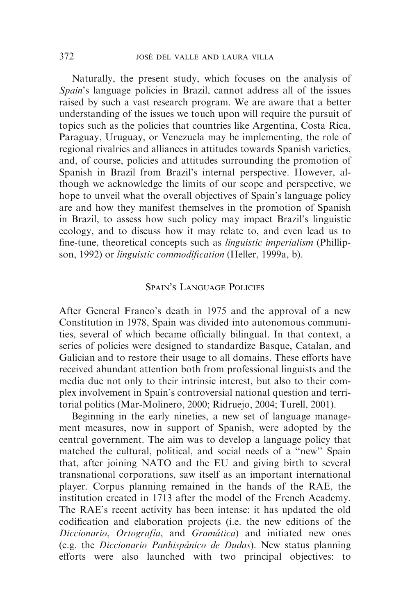Naturally, the present study, which focuses on the analysis of Spain's language policies in Brazil, cannot address all of the issues raised by such a vast research program. We are aware that a better understanding of the issues we touch upon will require the pursuit of topics such as the policies that countries like Argentina, Costa Rica, Paraguay, Uruguay, or Venezuela may be implementing, the role of regional rivalries and alliances in attitudes towards Spanish varieties, and, of course, policies and attitudes surrounding the promotion of Spanish in Brazil from Brazil's internal perspective. However, although we acknowledge the limits of our scope and perspective, we hope to unveil what the overall objectives of Spain's language policy are and how they manifest themselves in the promotion of Spanish in Brazil, to assess how such policy may impact Brazil's linguistic ecology, and to discuss how it may relate to, and even lead us to fine-tune, theoretical concepts such as linguistic imperialism (Phillipson, 1992) or *linguistic commodification* (Heller, 1999a, b).

## Spain's Language Policies

After General Franco's death in 1975 and the approval of a new Constitution in 1978, Spain was divided into autonomous communities, several of which became officially bilingual. In that context, a series of policies were designed to standardize Basque, Catalan, and Galician and to restore their usage to all domains. These efforts have received abundant attention both from professional linguists and the media due not only to their intrinsic interest, but also to their complex involvement in Spain's controversial national question and territorial politics (Mar-Molinero, 2000; Ridruejo, 2004; Turell, 2001).

Beginning in the early nineties, a new set of language management measures, now in support of Spanish, were adopted by the central government. The aim was to develop a language policy that matched the cultural, political, and social needs of a ''new'' Spain that, after joining NATO and the EU and giving birth to several transnational corporations, saw itself as an important international player. Corpus planning remained in the hands of the RAE, the institution created in 1713 after the model of the French Academy. The RAE's recent activity has been intense: it has updated the old codification and elaboration projects (i.e. the new editions of the Diccionario, Ortografía, and Gramática) and initiated new ones (e.g. the Diccionario Panhispánico de Dudas). New status planning efforts were also launched with two principal objectives: to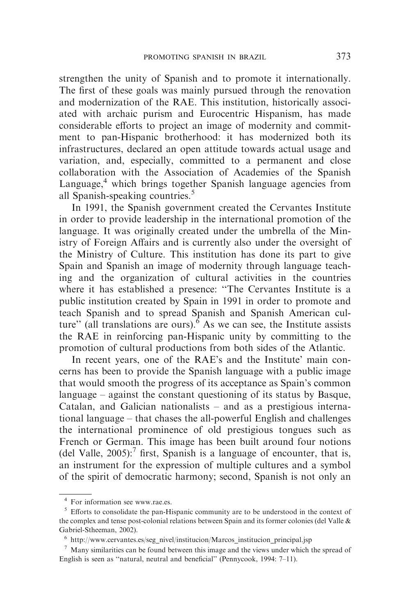strengthen the unity of Spanish and to promote it internationally. The first of these goals was mainly pursued through the renovation and modernization of the RAE. This institution, historically associated with archaic purism and Eurocentric Hispanism, has made considerable efforts to project an image of modernity and commitment to pan-Hispanic brotherhood: it has modernized both its infrastructures, declared an open attitude towards actual usage and variation, and, especially, committed to a permanent and close collaboration with the Association of Academies of the Spanish Language, $4$  which brings together Spanish language agencies from all Spanish-speaking countries.<sup>5</sup>

In 1991, the Spanish government created the Cervantes Institute in order to provide leadership in the international promotion of the language. It was originally created under the umbrella of the Ministry of Foreign Affairs and is currently also under the oversight of the Ministry of Culture. This institution has done its part to give Spain and Spanish an image of modernity through language teaching and the organization of cultural activities in the countries where it has established a presence: ''The Cervantes Institute is a public institution created by Spain in 1991 in order to promote and teach Spanish and to spread Spanish and Spanish American culture" (all translations are ours).<sup> $\hat{6}$ </sup> As we can see, the Institute assists the RAE in reinforcing pan-Hispanic unity by committing to the promotion of cultural productions from both sides of the Atlantic.

In recent years, one of the RAE's and the Institute' main concerns has been to provide the Spanish language with a public image that would smooth the progress of its acceptance as Spain's common language – against the constant questioning of its status by Basque, Catalan, and Galician nationalists – and as a prestigious international language – that chases the all-powerful English and challenges the international prominence of old prestigious tongues such as French or German. This image has been built around four notions (del Valle, 2005):<sup>7</sup> first, Spanish is a language of encounter, that is, an instrument for the expression of multiple cultures and a symbol of the spirit of democratic harmony; second, Spanish is not only an

<sup>4</sup> For information see www.rae.es.

<sup>&</sup>lt;sup>5</sup> Efforts to consolidate the pan-Hispanic community are to be understood in the context of the complex and tense post-colonial relations between Spain and its former colonies (del Valle & Gabriel-Stheeman, 2002).

<sup>6</sup> http://www.cervantes.es/seg\_nivel/institucion/Marcos\_institucion\_principal.jsp

<sup>7</sup> Many similarities can be found between this image and the views under which the spread of English is seen as ''natural, neutral and beneficial'' (Pennycook, 1994: 7–11).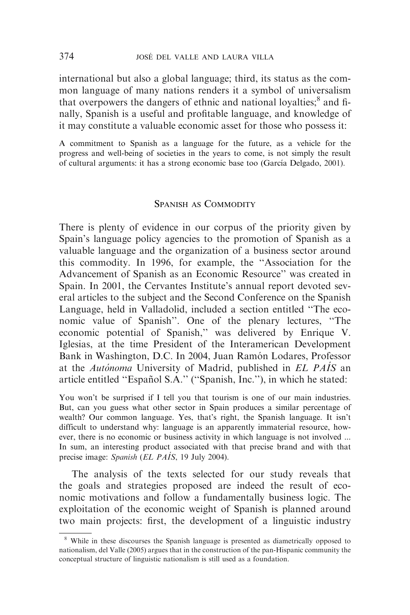international but also a global language; third, its status as the common language of many nations renders it a symbol of universalism that overpowers the dangers of ethnic and national loyalties; $^8$  and finally, Spanish is a useful and profitable language, and knowledge of it may constitute a valuable economic asset for those who possess it:

A commitment to Spanish as a language for the future, as a vehicle for the progress and well-being of societies in the years to come, is not simply the result of cultural arguments: it has a strong economic base too (García Delgado, 2001).

## Spanish as Commodity

There is plenty of evidence in our corpus of the priority given by Spain's language policy agencies to the promotion of Spanish as a valuable language and the organization of a business sector around this commodity. In 1996, for example, the ''Association for the Advancement of Spanish as an Economic Resource'' was created in Spain. In 2001, the Cervantes Institute's annual report devoted several articles to the subject and the Second Conference on the Spanish Language, held in Valladolid, included a section entitled ''The economic value of Spanish''. One of the plenary lectures, ''The economic potential of Spanish,'' was delivered by Enrique V. Iglesias, at the time President of the Interamerican Development Bank in Washington, D.C. In 2004, Juan Ramón Lodares, Professor at the Autónoma University of Madrid, published in EL PAIS an article entitled "Español S.A." ("Spanish, Inc."), in which he stated:

You won't be surprised if I tell you that tourism is one of our main industries. But, can you guess what other sector in Spain produces a similar percentage of wealth? Our common language. Yes, that's right, the Spanish language. It isn't difficult to understand why: language is an apparently immaterial resource, however, there is no economic or business activity in which language is not involved ... In sum, an interesting product associated with that precise brand and with that precise image: Spanish (EL PAÍS, 19 July 2004).

The analysis of the texts selected for our study reveals that the goals and strategies proposed are indeed the result of economic motivations and follow a fundamentally business logic. The exploitation of the economic weight of Spanish is planned around two main projects: first, the development of a linguistic industry

<sup>8</sup> While in these discourses the Spanish language is presented as diametrically opposed to nationalism, del Valle (2005) argues that in the construction of the pan-Hispanic community the conceptual structure of linguistic nationalism is still used as a foundation.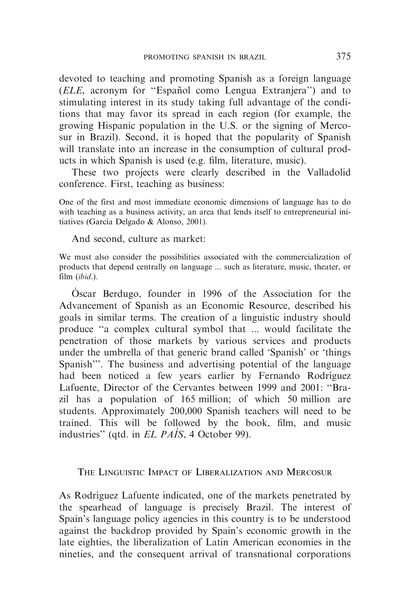devoted to teaching and promoting Spanish as a foreign language (ELE, acronym for "Español como Lengua Extranjera") and to stimulating interest in its study taking full advantage of the conditions that may favor its spread in each region (for example, the growing Hispanic population in the U.S. or the signing of Mercosur in Brazil). Second, it is hoped that the popularity of Spanish will translate into an increase in the consumption of cultural products in which Spanish is used (e.g. film, literature, music).

These two projects were clearly described in the Valladolid conference. First, teaching as business:

One of the first and most immediate economic dimensions of language has to do with teaching as a business activity, an area that lends itself to entrepreneurial initiatives (García Delgado & Alonso, 2001).

And second, culture as market:

We must also consider the possibilities associated with the commercialization of products that depend centrally on language ... such as literature, music, theater, or film (ibid.).

Oscar Berdugo, founder in 1996 of the Association for the Advancement of Spanish as an Economic Resource, described his goals in similar terms. The creation of a linguistic industry should produce ''a complex cultural symbol that ... would facilitate the penetration of those markets by various services and products under the umbrella of that generic brand called 'Spanish' or 'things Spanish'''. The business and advertising potential of the language had been noticed a few years earlier by Fernando Rodríguez Lafuente, Director of the Cervantes between 1999 and 2001: ''Brazil has a population of 165 million; of which 50 million are students. Approximately 200,000 Spanish teachers will need to be trained. This will be followed by the book, film, and music industries" (qtd. in  $EL$  PAIS, 4 October 99).

#### The Linguistic Impact of Liberalization and Mercosur

As Rodríguez Lafuente indicated, one of the markets penetrated by the spearhead of language is precisely Brazil. The interest of Spain's language policy agencies in this country is to be understood against the backdrop provided by Spain's economic growth in the late eighties, the liberalization of Latin American economies in the nineties, and the consequent arrival of transnational corporations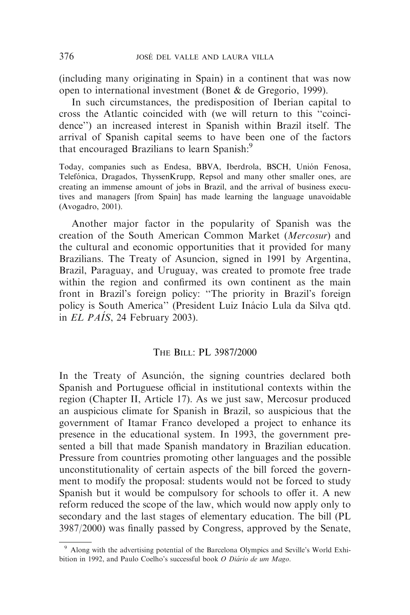(including many originating in Spain) in a continent that was now open to international investment (Bonet & de Gregorio, 1999).

In such circumstances, the predisposition of Iberian capital to cross the Atlantic coincided with (we will return to this ''coincidence'') an increased interest in Spanish within Brazil itself. The arrival of Spanish capital seems to have been one of the factors that encouraged Brazilians to learn Spanish:<sup>9</sup>

Today, companies such as Endesa, BBVA, Iberdrola, BSCH, Unión Fenosa, Telefónica, Dragados, ThyssenKrupp, Repsol and many other smaller ones, are creating an immense amount of jobs in Brazil, and the arrival of business executives and managers [from Spain] has made learning the language unavoidable (Avogadro, 2001).

Another major factor in the popularity of Spanish was the creation of the South American Common Market (Mercosur) and the cultural and economic opportunities that it provided for many Brazilians. The Treaty of Asuncion, signed in 1991 by Argentina, Brazil, Paraguay, and Uruguay, was created to promote free trade within the region and confirmed its own continent as the main front in Brazil's foreign policy: ''The priority in Brazil's foreign policy is South America" (President Luiz Inácio Lula da Silva qtd. in  $EL$  PAIS, 24 February 2003).

## The Bill: PL 3987/2000

In the Treaty of Asunción, the signing countries declared both Spanish and Portuguese official in institutional contexts within the region (Chapter II, Article 17). As we just saw, Mercosur produced an auspicious climate for Spanish in Brazil, so auspicious that the government of Itamar Franco developed a project to enhance its presence in the educational system. In 1993, the government presented a bill that made Spanish mandatory in Brazilian education. Pressure from countries promoting other languages and the possible unconstitutionality of certain aspects of the bill forced the government to modify the proposal: students would not be forced to study Spanish but it would be compulsory for schools to offer it. A new reform reduced the scope of the law, which would now apply only to secondary and the last stages of elementary education. The bill (PL 3987/2000) was finally passed by Congress, approved by the Senate,

<sup>9</sup> Along with the advertising potential of the Barcelona Olympics and Seville's World Exhibition in 1992, and Paulo Coelho's successful book O Diário de um Mago.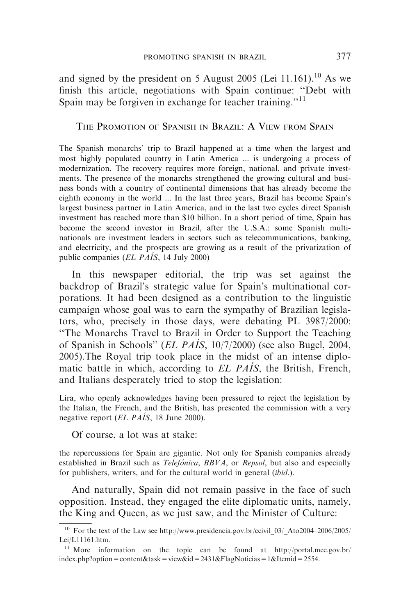and signed by the president on 5 August 2005 (Lei 11.161).<sup>10</sup> As we finish this article, negotiations with Spain continue: ''Debt with Spain may be forgiven in exchange for teacher training.''<sup>11</sup>

## THE PROMOTION OF SPANISH IN BRAZIL: A VIEW FROM SPAIN

The Spanish monarchs' trip to Brazil happened at a time when the largest and most highly populated country in Latin America ... is undergoing a process of modernization. The recovery requires more foreign, national, and private investments. The presence of the monarchs strengthened the growing cultural and business bonds with a country of continental dimensions that has already become the eighth economy in the world ... In the last three years, Brazil has become Spain's largest business partner in Latin America, and in the last two cycles direct Spanish investment has reached more than \$10 billion. In a short period of time, Spain has become the second investor in Brazil, after the U.S.A.: some Spanish multinationals are investment leaders in sectors such as telecommunications, banking, and electricity, and the prospects are growing as a result of the privatization of public companies (*EL PAÍS*, 14 July 2000)

In this newspaper editorial, the trip was set against the backdrop of Brazil's strategic value for Spain's multinational corporations. It had been designed as a contribution to the linguistic campaign whose goal was to earn the sympathy of Brazilian legislators, who, precisely in those days, were debating PL 3987/2000: ''The Monarchs Travel to Brazil in Order to Support the Teaching of Spanish in Schools" (EL PAIS,  $10/7/2000$ ) (see also Bugel, 2004, 2005).The Royal trip took place in the midst of an intense diplomatic battle in which, according to EL PAIS, the British, French, and Italians desperately tried to stop the legislation:

Lira, who openly acknowledges having been pressured to reject the legislation by the Italian, the French, and the British, has presented the commission with a very negative report ( $EL$  PAIS, 18 June 2000).

Of course, a lot was at stake:

the repercussions for Spain are gigantic. Not only for Spanish companies already established in Brazil such as *Telefónica*,  $BBVA$ , or *Repsol*, but also and especially for publishers, writers, and for the cultural world in general (ibid.).

And naturally, Spain did not remain passive in the face of such opposition. Instead, they engaged the elite diplomatic units, namely, the King and Queen, as we just saw, and the Minister of Culture:

<sup>&</sup>lt;sup>10</sup> For the text of the Law see http://www.presidencia.gov.br/ccivil 03/ Ato2004–2006/2005/ Lei/L11161.htm.

<sup>11</sup> More information on the topic can be found at http://portal.mec.gov.br/ index.php?option=content&task=view&id=2431&FlagNoticias=1&Itemid=2554.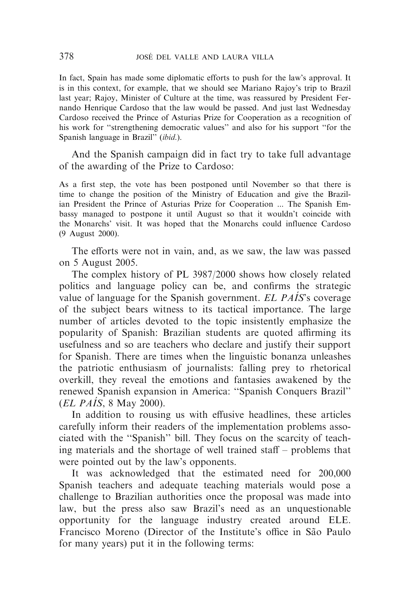In fact, Spain has made some diplomatic efforts to push for the law's approval. It is in this context, for example, that we should see Mariano Rajoy's trip to Brazil last year; Rajoy, Minister of Culture at the time, was reassured by President Fernando Henrique Cardoso that the law would be passed. And just last Wednesday Cardoso received the Prince of Asturias Prize for Cooperation as a recognition of his work for ''strengthening democratic values'' and also for his support ''for the Spanish language in Brazil'' (ibid.).

And the Spanish campaign did in fact try to take full advantage of the awarding of the Prize to Cardoso:

As a first step, the vote has been postponed until November so that there is time to change the position of the Ministry of Education and give the Brazilian President the Prince of Asturias Prize for Cooperation ... The Spanish Embassy managed to postpone it until August so that it wouldn't coincide with the Monarchs' visit. It was hoped that the Monarchs could influence Cardoso (9 August 2000).

The efforts were not in vain, and, as we saw, the law was passed on 5 August 2005.

The complex history of PL 3987/2000 shows how closely related politics and language policy can be, and confirms the strategic value of language for the Spanish government.  $EL$   $PA$  $IS$ 's coverage of the subject bears witness to its tactical importance. The large number of articles devoted to the topic insistently emphasize the popularity of Spanish: Brazilian students are quoted affirming its usefulness and so are teachers who declare and justify their support for Spanish. There are times when the linguistic bonanza unleashes the patriotic enthusiasm of journalists: falling prey to rhetorical overkill, they reveal the emotions and fantasies awakened by the renewed Spanish expansion in America: ''Spanish Conquers Brazil''  $(EL\ PAÍS, 8$  May 2000).

In addition to rousing us with effusive headlines, these articles carefully inform their readers of the implementation problems associated with the ''Spanish'' bill. They focus on the scarcity of teaching materials and the shortage of well trained staff – problems that were pointed out by the law's opponents.

It was acknowledged that the estimated need for 200,000 Spanish teachers and adequate teaching materials would pose a challenge to Brazilian authorities once the proposal was made into law, but the press also saw Brazil's need as an unquestionable opportunity for the language industry created around ELE. Francisco Moreno (Director of the Institute's office in São Paulo for many years) put it in the following terms: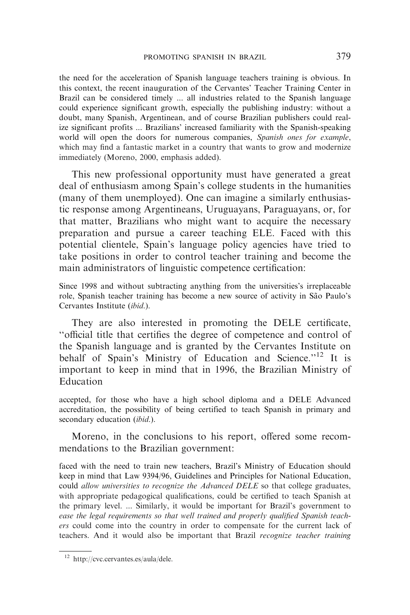the need for the acceleration of Spanish language teachers training is obvious. In this context, the recent inauguration of the Cervantes' Teacher Training Center in Brazil can be considered timely ... all industries related to the Spanish language could experience significant growth, especially the publishing industry: without a doubt, many Spanish, Argentinean, and of course Brazilian publishers could realize significant profits ... Brazilians' increased familiarity with the Spanish-speaking world will open the doors for numerous companies, Spanish ones for example, which may find a fantastic market in a country that wants to grow and modernize immediately (Moreno, 2000, emphasis added).

This new professional opportunity must have generated a great deal of enthusiasm among Spain's college students in the humanities (many of them unemployed). One can imagine a similarly enthusiastic response among Argentineans, Uruguayans, Paraguayans, or, for that matter, Brazilians who might want to acquire the necessary preparation and pursue a career teaching ELE. Faced with this potential clientele, Spain's language policy agencies have tried to take positions in order to control teacher training and become the main administrators of linguistic competence certification:

Since 1998 and without subtracting anything from the universities's irreplaceable role, Spanish teacher training has become a new source of activity in São Paulo's Cervantes Institute (ibid.).

They are also interested in promoting the DELE certificate, ''official title that certifies the degree of competence and control of the Spanish language and is granted by the Cervantes Institute on behalf of Spain's Ministry of Education and Science."<sup>12</sup> It is important to keep in mind that in 1996, the Brazilian Ministry of Education

accepted, for those who have a high school diploma and a DELE Advanced accreditation, the possibility of being certified to teach Spanish in primary and secondary education (ibid.).

Moreno, in the conclusions to his report, offered some recommendations to the Brazilian government:

faced with the need to train new teachers, Brazil's Ministry of Education should keep in mind that Law 9394/96, Guidelines and Principles for National Education, could allow universities to recognize the Advanced DELE so that college graduates, with appropriate pedagogical qualifications, could be certified to teach Spanish at the primary level. ... Similarly, it would be important for Brazil's government to ease the legal requirements so that well trained and properly qualified Spanish teachers could come into the country in order to compensate for the current lack of teachers. And it would also be important that Brazil recognize teacher training

<sup>12</sup> http://cvc.cervantes.es/aula/dele.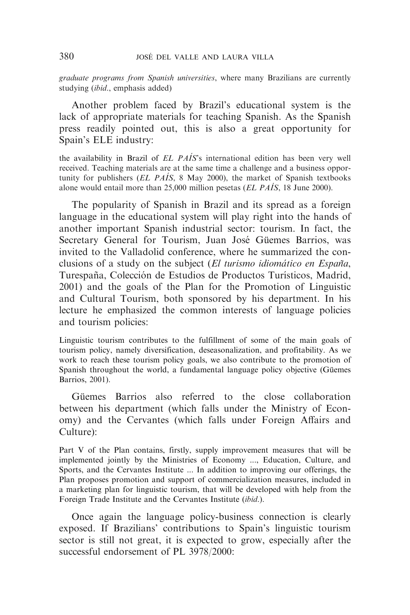graduate programs from Spanish universities, where many Brazilians are currently studying (ibid., emphasis added)

Another problem faced by Brazil's educational system is the lack of appropriate materials for teaching Spanish. As the Spanish press readily pointed out, this is also a great opportunity for Spain's ELE industry:

the availability in Brazil of  $EL$   $PAIS$ 's international edition has been very well received. Teaching materials are at the same time a challenge and a business opportunity for publishers (EL PAIS, 8 May 2000), the market of Spanish textbooks alone would entail more than 25,000 million pesetas ( $EL$   $PAIS$ , 18 June 2000).

The popularity of Spanish in Brazil and its spread as a foreign language in the educational system will play right into the hands of another important Spanish industrial sector: tourism. In fact, the Secretary General for Tourism, Juan José Güemes Barrios, was invited to the Valladolid conference, where he summarized the conclusions of a study on the subject  $(El$  turismo idiomático en España, Turespaña, Colección de Estudios de Productos Turísticos, Madrid, 2001) and the goals of the Plan for the Promotion of Linguistic and Cultural Tourism, both sponsored by his department. In his lecture he emphasized the common interests of language policies and tourism policies:

Linguistic tourism contributes to the fulfillment of some of the main goals of tourism policy, namely diversification, deseasonalization, and profitability. As we work to reach these tourism policy goals, we also contribute to the promotion of Spanish throughout the world, a fundamental language policy objective (Güemes Barrios, 2001).

Güemes Barrios also referred to the close collaboration between his department (which falls under the Ministry of Economy) and the Cervantes (which falls under Foreign Affairs and Culture):

Part V of the Plan contains, firstly, supply improvement measures that will be implemented jointly by the Ministries of Economy ..., Education, Culture, and Sports, and the Cervantes Institute ... In addition to improving our offerings, the Plan proposes promotion and support of commercialization measures, included in a marketing plan for linguistic tourism, that will be developed with help from the Foreign Trade Institute and the Cervantes Institute (ibid.).

Once again the language policy-business connection is clearly exposed. If Brazilians' contributions to Spain's linguistic tourism sector is still not great, it is expected to grow, especially after the successful endorsement of PL 3978/2000: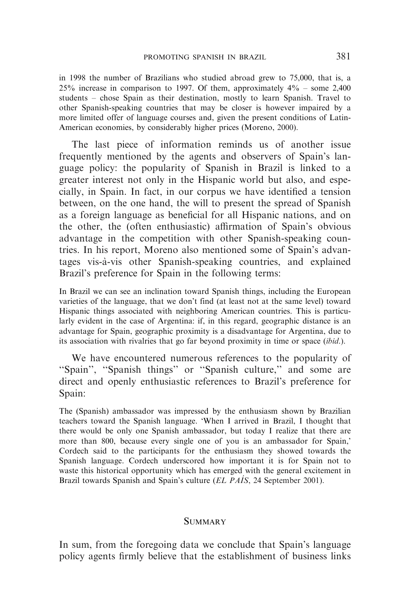in 1998 the number of Brazilians who studied abroad grew to 75,000, that is, a 25% increase in comparison to 1997. Of them, approximately  $4\%$  – some 2,400 students – chose Spain as their destination, mostly to learn Spanish. Travel to other Spanish-speaking countries that may be closer is however impaired by a more limited offer of language courses and, given the present conditions of Latin-American economies, by considerably higher prices (Moreno, 2000).

The last piece of information reminds us of another issue frequently mentioned by the agents and observers of Spain's language policy: the popularity of Spanish in Brazil is linked to a greater interest not only in the Hispanic world but also, and especially, in Spain. In fact, in our corpus we have identified a tension between, on the one hand, the will to present the spread of Spanish as a foreign language as beneficial for all Hispanic nations, and on the other, the (often enthusiastic) affirmation of Spain's obvious advantage in the competition with other Spanish-speaking countries. In his report, Moreno also mentioned some of Spain's advantages vis-a`-vis other Spanish-speaking countries, and explained Brazil's preference for Spain in the following terms:

In Brazil we can see an inclination toward Spanish things, including the European varieties of the language, that we don't find (at least not at the same level) toward Hispanic things associated with neighboring American countries. This is particularly evident in the case of Argentina: if, in this regard, geographic distance is an advantage for Spain, geographic proximity is a disadvantage for Argentina, due to its association with rivalries that go far beyond proximity in time or space (ibid.).

We have encountered numerous references to the popularity of "Spain", "Spanish things" or "Spanish culture," and some are direct and openly enthusiastic references to Brazil's preference for Spain:

The (Spanish) ambassador was impressed by the enthusiasm shown by Brazilian teachers toward the Spanish language. 'When I arrived in Brazil, I thought that there would be only one Spanish ambassador, but today I realize that there are more than 800, because every single one of you is an ambassador for Spain,' Cordech said to the participants for the enthusiasm they showed towards the Spanish language. Cordech underscored how important it is for Spain not to waste this historical opportunity which has emerged with the general excitement in Brazil towards Spanish and Spain's culture (EL PAÍS, 24 September 2001).

#### **SUMMARY**

In sum, from the foregoing data we conclude that Spain's language policy agents firmly believe that the establishment of business links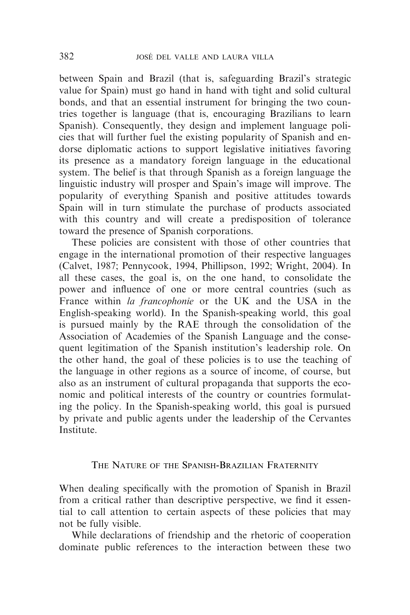between Spain and Brazil (that is, safeguarding Brazil's strategic value for Spain) must go hand in hand with tight and solid cultural bonds, and that an essential instrument for bringing the two countries together is language (that is, encouraging Brazilians to learn Spanish). Consequently, they design and implement language policies that will further fuel the existing popularity of Spanish and endorse diplomatic actions to support legislative initiatives favoring its presence as a mandatory foreign language in the educational system. The belief is that through Spanish as a foreign language the linguistic industry will prosper and Spain's image will improve. The popularity of everything Spanish and positive attitudes towards Spain will in turn stimulate the purchase of products associated with this country and will create a predisposition of tolerance toward the presence of Spanish corporations.

These policies are consistent with those of other countries that engage in the international promotion of their respective languages (Calvet, 1987; Pennycook, 1994, Phillipson, 1992; Wright, 2004). In all these cases, the goal is, on the one hand, to consolidate the power and influence of one or more central countries (such as France within la francophonie or the UK and the USA in the English-speaking world). In the Spanish-speaking world, this goal is pursued mainly by the RAE through the consolidation of the Association of Academies of the Spanish Language and the consequent legitimation of the Spanish institution's leadership role. On the other hand, the goal of these policies is to use the teaching of the language in other regions as a source of income, of course, but also as an instrument of cultural propaganda that supports the economic and political interests of the country or countries formulating the policy. In the Spanish-speaking world, this goal is pursued by private and public agents under the leadership of the Cervantes Institute.

## The Nature of the Spanish-Brazilian Fraternity

When dealing specifically with the promotion of Spanish in Brazil from a critical rather than descriptive perspective, we find it essential to call attention to certain aspects of these policies that may not be fully visible.

While declarations of friendship and the rhetoric of cooperation dominate public references to the interaction between these two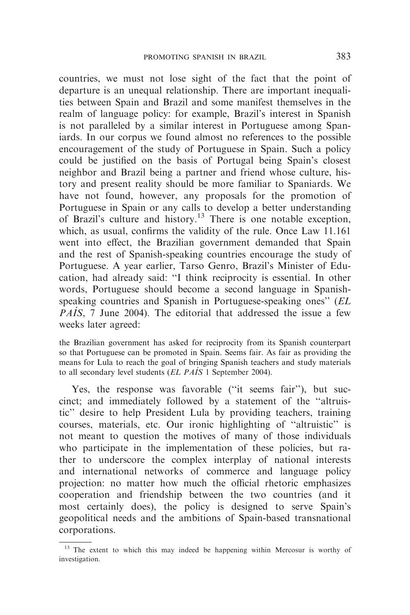countries, we must not lose sight of the fact that the point of departure is an unequal relationship. There are important inequalities between Spain and Brazil and some manifest themselves in the realm of language policy: for example, Brazil's interest in Spanish is not paralleled by a similar interest in Portuguese among Spaniards. In our corpus we found almost no references to the possible encouragement of the study of Portuguese in Spain. Such a policy could be justified on the basis of Portugal being Spain's closest neighbor and Brazil being a partner and friend whose culture, history and present reality should be more familiar to Spaniards. We have not found, however, any proposals for the promotion of Portuguese in Spain or any calls to develop a better understanding of Brazil's culture and history.<sup>13</sup> There is one notable exception, which, as usual, confirms the validity of the rule. Once Law 11.161 went into effect, the Brazilian government demanded that Spain and the rest of Spanish-speaking countries encourage the study of Portuguese. A year earlier, Tarso Genro, Brazil's Minister of Education, had already said: ''I think reciprocity is essential. In other words, Portuguese should become a second language in Spanishspeaking countries and Spanish in Portuguese-speaking ones" (EL PAIS, 7 June 2004). The editorial that addressed the issue a few weeks later agreed:

the Brazilian government has asked for reciprocity from its Spanish counterpart so that Portuguese can be promoted in Spain. Seems fair. As fair as providing the means for Lula to reach the goal of bringing Spanish teachers and study materials to all secondary level students ( $EL$   $PA$ IS 1 September 2004).

Yes, the response was favorable (''it seems fair''), but succinct; and immediately followed by a statement of the ''altruistic'' desire to help President Lula by providing teachers, training courses, materials, etc. Our ironic highlighting of ''altruistic'' is not meant to question the motives of many of those individuals who participate in the implementation of these policies, but rather to underscore the complex interplay of national interests and international networks of commerce and language policy projection: no matter how much the official rhetoric emphasizes cooperation and friendship between the two countries (and it most certainly does), the policy is designed to serve Spain's geopolitical needs and the ambitions of Spain-based transnational corporations.

<sup>&</sup>lt;sup>13</sup> The extent to which this may indeed be happening within Mercosur is worthy of investigation.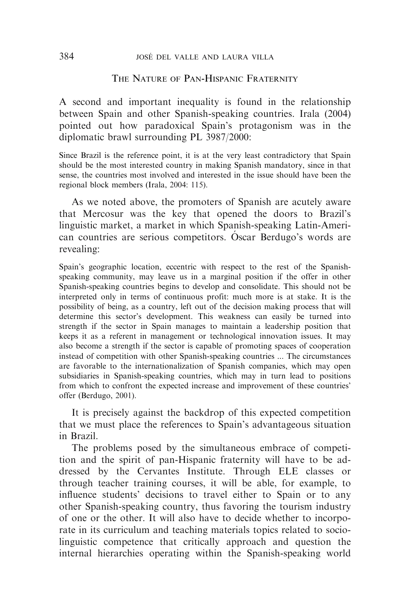## THE NATURE OF PAN-HISPANIC FRATERNITY

A second and important inequality is found in the relationship between Spain and other Spanish-speaking countries. Irala (2004) pointed out how paradoxical Spain's protagonism was in the diplomatic brawl surrounding PL 3987/2000:

Since Brazil is the reference point, it is at the very least contradictory that Spain should be the most interested country in making Spanish mandatory, since in that sense, the countries most involved and interested in the issue should have been the regional block members (Irala, 2004: 115).

As we noted above, the promoters of Spanish are acutely aware that Mercosur was the key that opened the doors to Brazil's linguistic market, a market in which Spanish-speaking Latin-American countries are serious competitors. Oscar Berdugo's words are revealing:

Spain's geographic location, eccentric with respect to the rest of the Spanishspeaking community, may leave us in a marginal position if the offer in other Spanish-speaking countries begins to develop and consolidate. This should not be interpreted only in terms of continuous profit: much more is at stake. It is the possibility of being, as a country, left out of the decision making process that will determine this sector's development. This weakness can easily be turned into strength if the sector in Spain manages to maintain a leadership position that keeps it as a referent in management or technological innovation issues. It may also become a strength if the sector is capable of promoting spaces of cooperation instead of competition with other Spanish-speaking countries ... The circumstances are favorable to the internationalization of Spanish companies, which may open subsidiaries in Spanish-speaking countries, which may in turn lead to positions from which to confront the expected increase and improvement of these countries' offer (Berdugo, 2001).

It is precisely against the backdrop of this expected competition that we must place the references to Spain's advantageous situation in Brazil.

The problems posed by the simultaneous embrace of competition and the spirit of pan-Hispanic fraternity will have to be addressed by the Cervantes Institute. Through ELE classes or through teacher training courses, it will be able, for example, to influence students' decisions to travel either to Spain or to any other Spanish-speaking country, thus favoring the tourism industry of one or the other. It will also have to decide whether to incorporate in its curriculum and teaching materials topics related to sociolinguistic competence that critically approach and question the internal hierarchies operating within the Spanish-speaking world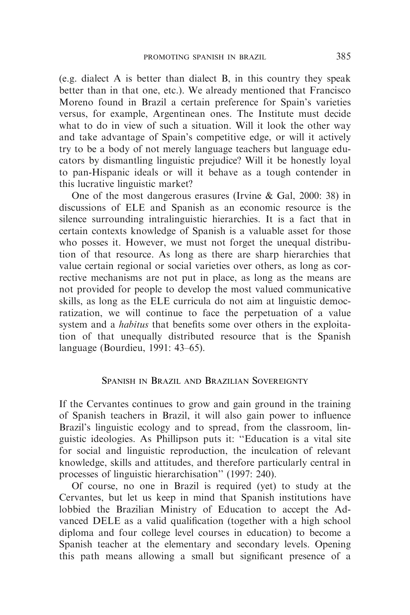(e.g. dialect A is better than dialect B, in this country they speak better than in that one, etc.). We already mentioned that Francisco Moreno found in Brazil a certain preference for Spain's varieties versus, for example, Argentinean ones. The Institute must decide what to do in view of such a situation. Will it look the other way and take advantage of Spain's competitive edge, or will it actively try to be a body of not merely language teachers but language educators by dismantling linguistic prejudice? Will it be honestly loyal to pan-Hispanic ideals or will it behave as a tough contender in this lucrative linguistic market?

One of the most dangerous erasures (Irvine & Gal, 2000: 38) in discussions of ELE and Spanish as an economic resource is the silence surrounding intralinguistic hierarchies. It is a fact that in certain contexts knowledge of Spanish is a valuable asset for those who posses it. However, we must not forget the unequal distribution of that resource. As long as there are sharp hierarchies that value certain regional or social varieties over others, as long as corrective mechanisms are not put in place, as long as the means are not provided for people to develop the most valued communicative skills, as long as the ELE curricula do not aim at linguistic democratization, we will continue to face the perpetuation of a value system and a habitus that benefits some over others in the exploitation of that unequally distributed resource that is the Spanish language (Bourdieu, 1991: 43–65).

## Spanish in Brazil and Brazilian Sovereignty

If the Cervantes continues to grow and gain ground in the training of Spanish teachers in Brazil, it will also gain power to influence Brazil's linguistic ecology and to spread, from the classroom, linguistic ideologies. As Phillipson puts it: ''Education is a vital site for social and linguistic reproduction, the inculcation of relevant knowledge, skills and attitudes, and therefore particularly central in processes of linguistic hierarchisation'' (1997: 240).

Of course, no one in Brazil is required (yet) to study at the Cervantes, but let us keep in mind that Spanish institutions have lobbied the Brazilian Ministry of Education to accept the Advanced DELE as a valid qualification (together with a high school diploma and four college level courses in education) to become a Spanish teacher at the elementary and secondary levels. Opening this path means allowing a small but significant presence of a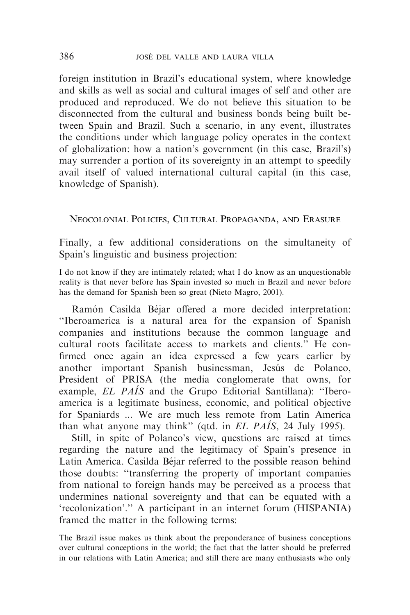foreign institution in Brazil's educational system, where knowledge and skills as well as social and cultural images of self and other are produced and reproduced. We do not believe this situation to be disconnected from the cultural and business bonds being built between Spain and Brazil. Such a scenario, in any event, illustrates the conditions under which language policy operates in the context of globalization: how a nation's government (in this case, Brazil's) may surrender a portion of its sovereignty in an attempt to speedily avail itself of valued international cultural capital (in this case, knowledge of Spanish).

## Neocolonial Policies, Cultural Propaganda, and Erasure

Finally, a few additional considerations on the simultaneity of Spain's linguistic and business projection:

I do not know if they are intimately related; what I do know as an unquestionable reality is that never before has Spain invested so much in Brazil and never before has the demand for Spanish been so great (Nieto Magro, 2001).

Ramón Casilda Béjar offered a more decided interpretation: ''Iberoamerica is a natural area for the expansion of Spanish companies and institutions because the common language and cultural roots facilitate access to markets and clients.'' He confirmed once again an idea expressed a few years earlier by another important Spanish businessman, Jesús de Polanco, President of PRISA (the media conglomerate that owns, for example, EL PAIS and the Grupo Editorial Santillana): "Iberoamerica is a legitimate business, economic, and political objective for Spaniards ... We are much less remote from Latin America than what anyone may think" (qtd. in  $EL$  PAIS, 24 July 1995).

Still, in spite of Polanco's view, questions are raised at times regarding the nature and the legitimacy of Spain's presence in Latin America. Casilda Béjar referred to the possible reason behind those doubts: ''transferring the property of important companies from national to foreign hands may be perceived as a process that undermines national sovereignty and that can be equated with a 'recolonization'.'' A participant in an internet forum (HISPANIA) framed the matter in the following terms:

The Brazil issue makes us think about the preponderance of business conceptions over cultural conceptions in the world; the fact that the latter should be preferred in our relations with Latin America; and still there are many enthusiasts who only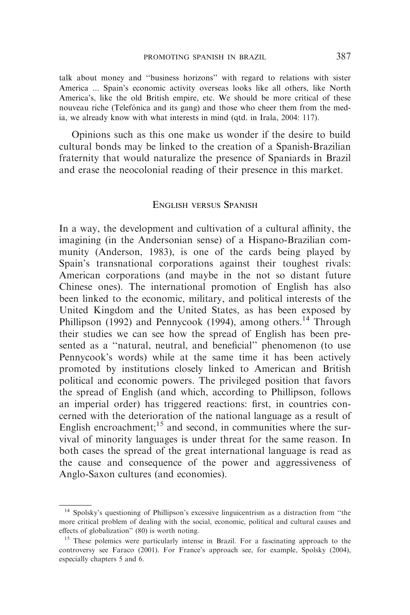talk about money and ''business horizons'' with regard to relations with sister America ... Spain's economic activity overseas looks like all others, like North America's, like the old British empire, etc. We should be more critical of these nouveau riche (Telefónica and its gang) and those who cheer them from the media, we already know with what interests in mind (qtd. in Irala, 2004: 117).

Opinions such as this one make us wonder if the desire to build cultural bonds may be linked to the creation of a Spanish-Brazilian fraternity that would naturalize the presence of Spaniards in Brazil and erase the neocolonial reading of their presence in this market.

#### English versus Spanish

In a way, the development and cultivation of a cultural affinity, the imagining (in the Andersonian sense) of a Hispano-Brazilian community (Anderson, 1983), is one of the cards being played by Spain's transnational corporations against their toughest rivals: American corporations (and maybe in the not so distant future Chinese ones). The international promotion of English has also been linked to the economic, military, and political interests of the United Kingdom and the United States, as has been exposed by Phillipson (1992) and Pennycook (1994), among others.<sup>14</sup> Through their studies we can see how the spread of English has been presented as a ''natural, neutral, and beneficial'' phenomenon (to use Pennycook's words) while at the same time it has been actively promoted by institutions closely linked to American and British political and economic powers. The privileged position that favors the spread of English (and which, according to Phillipson, follows an imperial order) has triggered reactions: first, in countries concerned with the deterioration of the national language as a result of English encroachment;<sup>15</sup> and second, in communities where the survival of minority languages is under threat for the same reason. In both cases the spread of the great international language is read as the cause and consequence of the power and aggressiveness of Anglo-Saxon cultures (and economies).

<sup>&</sup>lt;sup>14</sup> Spolsky's questioning of Phillipson's excessive linguicentrism as a distraction from "the more critical problem of dealing with the social, economic, political and cultural causes and effects of globalization'' (80) is worth noting.

<sup>&</sup>lt;sup>15</sup> These polemics were particularly intense in Brazil. For a fascinating approach to the controversy see Faraco (2001). For France's approach see, for example, Spolsky (2004), especially chapters 5 and 6.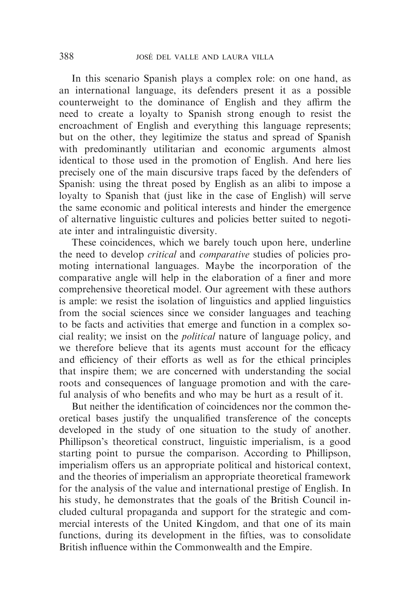In this scenario Spanish plays a complex role: on one hand, as an international language, its defenders present it as a possible counterweight to the dominance of English and they affirm the need to create a loyalty to Spanish strong enough to resist the encroachment of English and everything this language represents; but on the other, they legitimize the status and spread of Spanish with predominantly utilitarian and economic arguments almost identical to those used in the promotion of English. And here lies precisely one of the main discursive traps faced by the defenders of Spanish: using the threat posed by English as an alibi to impose a loyalty to Spanish that (just like in the case of English) will serve the same economic and political interests and hinder the emergence of alternative linguistic cultures and policies better suited to negotiate inter and intralinguistic diversity.

These coincidences, which we barely touch upon here, underline the need to develop critical and comparative studies of policies promoting international languages. Maybe the incorporation of the comparative angle will help in the elaboration of a finer and more comprehensive theoretical model. Our agreement with these authors is ample: we resist the isolation of linguistics and applied linguistics from the social sciences since we consider languages and teaching to be facts and activities that emerge and function in a complex social reality; we insist on the political nature of language policy, and we therefore believe that its agents must account for the efficacy and efficiency of their efforts as well as for the ethical principles that inspire them; we are concerned with understanding the social roots and consequences of language promotion and with the careful analysis of who benefits and who may be hurt as a result of it.

But neither the identification of coincidences nor the common theoretical bases justify the unqualified transference of the concepts developed in the study of one situation to the study of another. Phillipson's theoretical construct, linguistic imperialism, is a good starting point to pursue the comparison. According to Phillipson, imperialism offers us an appropriate political and historical context, and the theories of imperialism an appropriate theoretical framework for the analysis of the value and international prestige of English. In his study, he demonstrates that the goals of the British Council included cultural propaganda and support for the strategic and commercial interests of the United Kingdom, and that one of its main functions, during its development in the fifties, was to consolidate British influence within the Commonwealth and the Empire.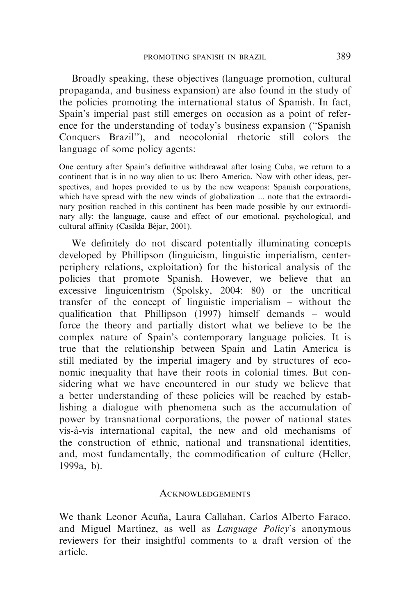Broadly speaking, these objectives (language promotion, cultural propaganda, and business expansion) are also found in the study of the policies promoting the international status of Spanish. In fact, Spain's imperial past still emerges on occasion as a point of reference for the understanding of today's business expansion (''Spanish Conquers Brazil''), and neocolonial rhetoric still colors the language of some policy agents:

One century after Spain's definitive withdrawal after losing Cuba, we return to a continent that is in no way alien to us: Ibero America. Now with other ideas, perspectives, and hopes provided to us by the new weapons: Spanish corporations, which have spread with the new winds of globalization ... note that the extraordinary position reached in this continent has been made possible by our extraordinary ally: the language, cause and effect of our emotional, psychological, and cultural affinity (Casilda Béjar, 2001).

We definitely do not discard potentially illuminating concepts developed by Phillipson (linguicism, linguistic imperialism, centerperiphery relations, exploitation) for the historical analysis of the policies that promote Spanish. However, we believe that an excessive linguicentrism (Spolsky, 2004: 80) or the uncritical transfer of the concept of linguistic imperialism – without the qualification that Phillipson (1997) himself demands – would force the theory and partially distort what we believe to be the complex nature of Spain's contemporary language policies. It is true that the relationship between Spain and Latin America is still mediated by the imperial imagery and by structures of economic inequality that have their roots in colonial times. But considering what we have encountered in our study we believe that a better understanding of these policies will be reached by establishing a dialogue with phenomena such as the accumulation of power by transnational corporations, the power of national states vis-a`-vis international capital, the new and old mechanisms of the construction of ethnic, national and transnational identities, and, most fundamentally, the commodification of culture (Heller, 1999a, b).

#### ACKNOWLEDGEMENTS

We thank Leonor Acuña, Laura Callahan, Carlos Alberto Faraco, and Miguel Martinez, as well as *Language Policy's* anonymous reviewers for their insightful comments to a draft version of the article.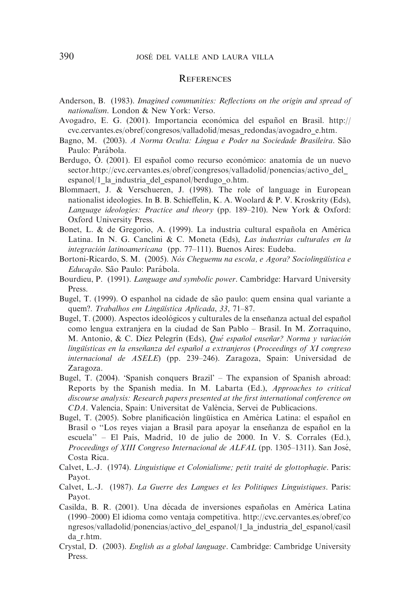#### **REFERENCES**

- Anderson, B. (1983). Imagined communities: Reflections on the origin and spread of nationalism. London & New York: Verso.
- Avogadro, E. G. (2001). Importancia econo´mica del espan˜ol en Brasil. http:// cvc.cervantes.es/obref/congresos/valladolid/mesas\_redondas/avogadro\_e.htm.
- Bagno, M. (2003). A Norma Oculta: Língua e Poder na Sociedade Brasileira. São Paulo: Parábola.
- Berdugo, Ó. (2001). El español como recurso económico: anatomía de un nuevo sector.http://cvc.cervantes.es/obref/congresos/valladolid/ponencias/activo\_del espanol/1\_la\_industria\_del\_espanol/berdugo\_o.htm.
- Blommaert, J. & Verschueren, J. (1998). The role of language in European nationalist ideologies. In B. B. Schieffelin, K. A. Woolard & P. V. Kroskrity (Eds), Language ideologies: Practice and theory (pp. 189–210). New York & Oxford: Oxford University Press.
- Bonet, L. & de Gregorio, A. (1999). La industria cultural española en América Latina. In N. G. Canclini & C. Moneta (Eds), Las industrias culturales en la integración latinoamericana (pp. 77–111). Buenos Aires: Eudeba.
- Bortoni-Ricardo, S. M. (2005). Nós Cheguemu na escola, e Agora? Sociolingüística e Educação. São Paulo: Parábola.
- Bourdieu, P. (1991). Language and symbolic power. Cambridge: Harvard University Press.
- Bugel, T. (1999). O espanhol na cidade de são paulo: quem ensina qual variante a quem?. Trabalhos em Lingüística Aplicada, 33, 71–87.
- Bugel, T. (2000). Aspectos ideológicos y culturales de la enseñanza actual del español como lengua extranjera en la ciudad de San Pablo – Brasil. In M. Zorraquino, M. Antonio, & C. Díez Pelegrín (Eds), Qué español enseñar? Norma y variación  $lingüísticas$  en la enseñanza del español a extranjeros (Proceedings of XI congreso internacional de ASELE) (pp. 239–246). Zaragoza, Spain: Universidad de Zaragoza.
- Bugel, T. (2004). 'Spanish conquers Brazil' The expansion of Spanish abroad: Reports by the Spanish media. In M. Labarta (Ed.), Approaches to critical discourse analysis: Research papers presented at the first international conference on CDA. Valencia, Spain: Universitat de València, Servei de Publicacions.
- Bugel, T. (2005). Sobre planificación lingüística en América Latina: el español en Brasil o "Los reyes viajan a Brasil para apoyar la enseñanza de español en la escuela" – El País, Madrid, 10 de julio de 2000. In V. S. Corrales (Ed.), Proceedings of XIII Congreso Internacional de ALFAL (pp. 1305–1311). San José, Costa Rica.
- Calvet, L.-J. (1974). *Linguistique et Colonialisme; petit traité de glottophagie*. Paris: Payot.
- Calvet, L.-J. (1987). La Guerre des Langues et les Politiques Linguistiques. Paris: Payot.
- Casilda, B. R. (2001). Una década de inversiones españolas en América Latina (1990–2000) El idioma como ventaja competitiva. http://cvc.cervantes.es/obref/co ngresos/valladolid/ponencias/activo\_del\_espanol/1\_la\_industria\_del\_espanol/casil da\_r.htm.
- Crystal, D. (2003). English as a global language. Cambridge: Cambridge University Press.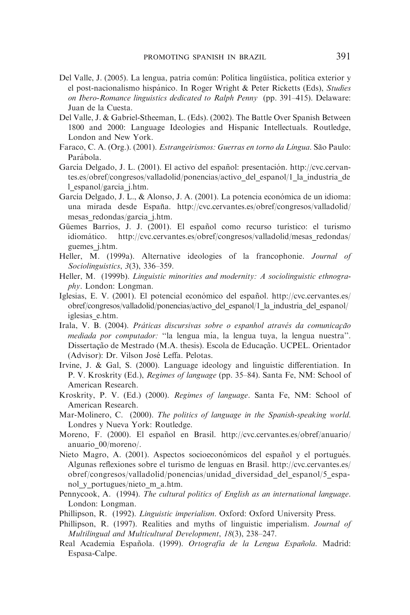- Del Valle, J. (2005). La lengua, patria común: Política lingüística, política exterior y el post-nacionalismo hispánico. In Roger Wright & Peter Ricketts (Eds), Studies on Ibero-Romance linguistics dedicated to Ralph Penny (pp. 391–415). Delaware: Juan de la Cuesta.
- Del Valle, J. & Gabriel-Stheeman, L. (Eds). (2002). The Battle Over Spanish Between 1800 and 2000: Language Ideologies and Hispanic Intellectuals. Routledge, London and New York.
- Faraco, C. A. (Org.). (2001). *Estrangeirismos: Guerras en torno da Língua*. São Paulo: Parábola.
- García Delgado, J. L. (2001). El activo del español: presentación. http://cvc.cervantes.es/obref/congresos/valladolid/ponencias/activo\_del\_espanol/1\_la\_industria\_de l\_espanol/garcia\_j.htm.
- García Delgado, J. L., & Alonso, J. A. (2001). La potencia económica de un idioma: una mirada desde España. http://cvc.cervantes.es/obref/congresos/valladolid/ mesas\_redondas/garcia\_j.htm.
- Güemes Barrios, J. J. (2001). El español como recurso turístico: el turismo idiomático. http://cvc.cervantes.es/obref/congresos/valladolid/mesas\_redondas/ guemes\_j.htm.
- Heller, M. (1999a). Alternative ideologies of la francophonie. Journal of Sociolinguistics, 3(3), 336–359.
- Heller, M. (1999b). Linguistic minorities and modernity: A sociolinguistic ethnography. London: Longman.
- Iglesias, E. V. (2001). El potencial económico del español. http://cvc.cervantes.es/ obref/congresos/valladolid/ponencias/activo\_del\_espanol/1\_la\_industria\_del\_espanol/ iglesias\_e.htm.
- Irala, V. B. (2004). Práticas discursivas sobre o espanhol através da comunicação mediada por computador: "la lengua mía, la lengua tuya, la lengua nuestra". Dissertação de Mestrado (M.A. thesis). Escola de Educação. UCPEL. Orientador (Advisor): Dr. Vilson José Leffa. Pelotas.
- Irvine, J. & Gal, S. (2000). Language ideology and linguistic differentiation. In P. V. Kroskrity (Ed.), Regimes of language (pp. 35–84). Santa Fe, NM: School of American Research.
- Kroskrity, P. V. (Ed.) (2000). Regimes of language. Santa Fe, NM: School of American Research.
- Mar-Molinero, C. (2000). The politics of language in the Spanish-speaking world. Londres y Nueva York: Routledge.
- Moreno, F. (2000). El español en Brasil. http://cvc.cervantes.es/obref/anuario/ anuario\_00/moreno/.
- Nieto Magro, A. (2001). Aspectos socioeconómicos del español y el portugués. Algunas reflexiones sobre el turismo de lenguas en Brasil. http://cvc.cervantes.es/ obref/congresos/valladolid/ponencias/unidad\_diversidad\_del\_espanol/5\_espanol\_y\_portugues/nieto\_m\_a.htm.
- Pennycook, A. (1994). The cultural politics of English as an international language. London: Longman.
- Phillipson, R. (1992). Linguistic imperialism. Oxford: Oxford University Press.
- Phillipson, R. (1997). Realities and myths of linguistic imperialism. Journal of Multilingual and Multicultural Development, 18(3), 238–247.
- Real Academia Española. (1999). Ortografía de la Lengua Española. Madrid: Espasa-Calpe.